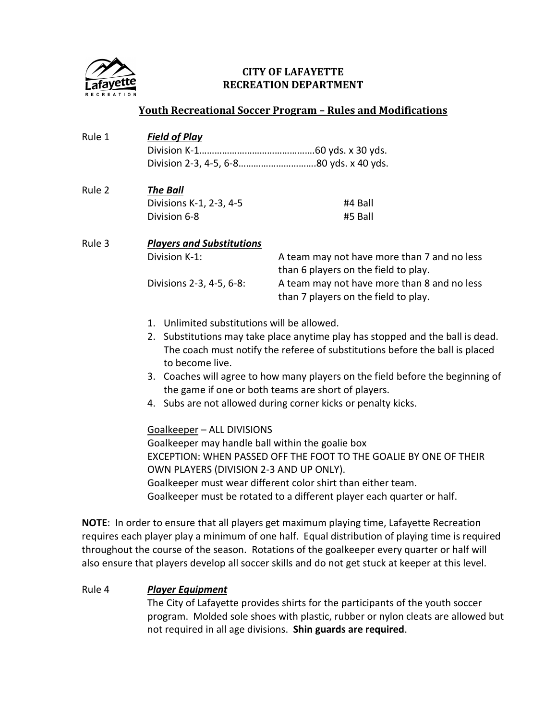

# **CITY OF LAFAYETTE RECREATION DEPARTMENT**

### **Youth Recreational Soccer Program – Rules and Modifications**

| Rule 1 | <b>Field of Play</b>                                                                                                                                                                                                                                                                                                                                                                                                                                                                                                                                                                              |                                                                                                                                                                            |
|--------|---------------------------------------------------------------------------------------------------------------------------------------------------------------------------------------------------------------------------------------------------------------------------------------------------------------------------------------------------------------------------------------------------------------------------------------------------------------------------------------------------------------------------------------------------------------------------------------------------|----------------------------------------------------------------------------------------------------------------------------------------------------------------------------|
| Rule 2 | <b>The Ball</b><br>Divisions K-1, 2-3, 4-5<br>Division 6-8                                                                                                                                                                                                                                                                                                                                                                                                                                                                                                                                        | #4 Ball<br>#5 Ball                                                                                                                                                         |
| Rule 3 | <b>Players and Substitutions</b><br>Division K-1:<br>Divisions 2-3, 4-5, 6-8:                                                                                                                                                                                                                                                                                                                                                                                                                                                                                                                     | A team may not have more than 7 and no less<br>than 6 players on the field to play.<br>A team may not have more than 8 and no less<br>than 7 players on the field to play. |
|        | 1. Unlimited substitutions will be allowed.<br>2. Substitutions may take place anytime play has stopped and the ball is dead.<br>The coach must notify the referee of substitutions before the ball is placed<br>to become live.<br>3. Coaches will agree to how many players on the field before the beginning of<br>the game if one or both teams are short of players.<br>4. Subs are not allowed during corner kicks or penalty kicks.<br>Goalkeeper - ALL DIVISIONS<br>Goalkeeper may handle ball within the goalie box<br>EXCEPTION: WHEN PASSED OFF THE FOOT TO THE GOALIE BY ONE OF THEIR |                                                                                                                                                                            |
|        | OWN PLAYERS (DIVISION 2-3 AND UP ONLY).<br>Goalkeeper must wear different color shirt than either team.                                                                                                                                                                                                                                                                                                                                                                                                                                                                                           |                                                                                                                                                                            |

Goalkeeper must be rotated to a different player each quarter or half.

**NOTE**: In order to ensure that all players get maximum playing time, Lafayette Recreation requires each player play a minimum of one half. Equal distribution of playing time is required throughout the course of the season. Rotations of the goalkeeper every quarter or half will also ensure that players develop all soccer skills and do not get stuck at keeper at this level.

#### Rule 4 *Player Equipment*

The City of Lafayette provides shirts for the participants of the youth soccer program. Molded sole shoes with plastic, rubber or nylon cleats are allowed but not required in all age divisions. **Shin guards are required**.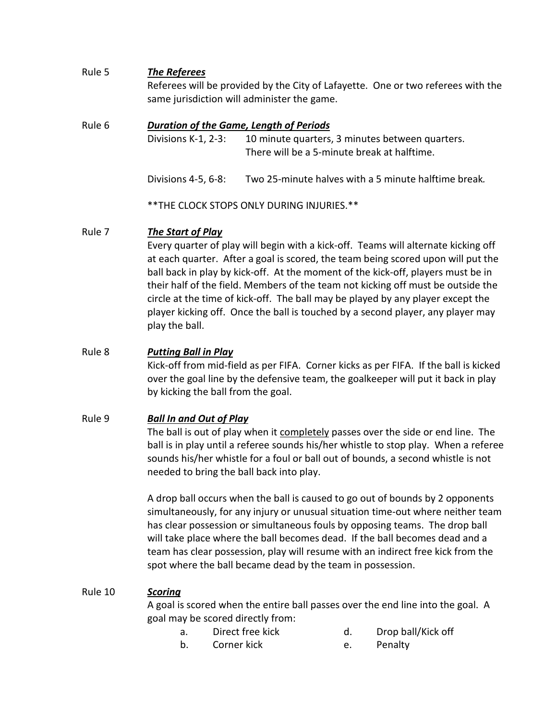### Rule 5 *The Referees*

Referees will be provided by the City of Lafayette. One or two referees with the same jurisdiction will administer the game.

### Rule 6 *Duration of the Game, Length of Periods*

Divisions K-1, 2-3: 10 minute quarters, 3 minutes between quarters. There will be a 5-minute break at halftime.

Divisions 4-5, 6-8: Two 25-minute halves with a 5 minute halftime break*.*

\*\*THE CLOCK STOPS ONLY DURING INJURIES.\*\*

### Rule 7 *The Start of Play*

Every quarter of play will begin with a kick-off. Teams will alternate kicking off at each quarter. After a goal is scored, the team being scored upon will put the ball back in play by kick-off. At the moment of the kick-off, players must be in their half of the field. Members of the team not kicking off must be outside the circle at the time of kick-off. The ball may be played by any player except the player kicking off. Once the ball is touched by a second player, any player may play the ball.

### Rule 8 *Putting Ball in Play*

Kick-off from mid-field as per FIFA. Corner kicks as per FIFA. If the ball is kicked over the goal line by the defensive team, the goalkeeper will put it back in play by kicking the ball from the goal.

# Rule 9 *Ball In and Out of Play*

The ball is out of play when it completely passes over the side or end line. The ball is in play until a referee sounds his/her whistle to stop play. When a referee sounds his/her whistle for a foul or ball out of bounds, a second whistle is not needed to bring the ball back into play.

A drop ball occurs when the ball is caused to go out of bounds by 2 opponents simultaneously, for any injury or unusual situation time-out where neither team has clear possession or simultaneous fouls by opposing teams. The drop ball will take place where the ball becomes dead. If the ball becomes dead and a team has clear possession, play will resume with an indirect free kick from the spot where the ball became dead by the team in possession.

#### Rule 10 *Scoring*

A goal is scored when the entire ball passes over the end line into the goal. A goal may be scored directly from:

- a. Direct free kick b a. Drop ball/Kick off
- b. Corner kick e. Penalty
- -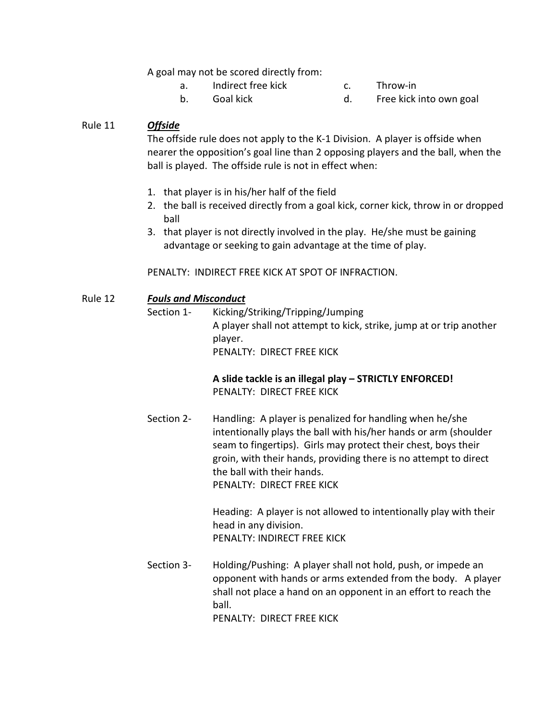A goal may not be scored directly from:

- a. Indirect free kick c. Throw-in
- 
- 
- b. Goal kick and the contract of the contract of the Goal kick into own goal

### Rule 11 *Offside*

The offside rule does not apply to the K-1 Division. A player is offside when nearer the opposition's goal line than 2 opposing players and the ball, when the ball is played. The offside rule is not in effect when:

- 1. that player is in his/her half of the field
- 2. the ball is received directly from a goal kick, corner kick, throw in or dropped ball
- 3. that player is not directly involved in the play. He/she must be gaining advantage or seeking to gain advantage at the time of play.

PENALTY: INDIRECT FREE KICK AT SPOT OF INFRACTION.

#### Rule 12 *Fouls and Misconduct*

Section 1- Kicking/Striking/Tripping/Jumping A player shall not attempt to kick, strike, jump at or trip another player. PENALTY: DIRECT FREE KICK

# **A slide tackle is an illegal play – STRICTLY ENFORCED!** PENALTY: DIRECT FREE KICK

Section 2- Handling: A player is penalized for handling when he/she intentionally plays the ball with his/her hands or arm (shoulder seam to fingertips). Girls may protect their chest, boys their groin, with their hands, providing there is no attempt to direct the ball with their hands. PENALTY: DIRECT FREE KICK

> Heading: A player is not allowed to intentionally play with their head in any division. PENALTY: INDIRECT FREE KICK

Section 3- Holding/Pushing: A player shall not hold, push, or impede an opponent with hands or arms extended from the body. A player shall not place a hand on an opponent in an effort to reach the ball.

PENALTY: DIRECT FREE KICK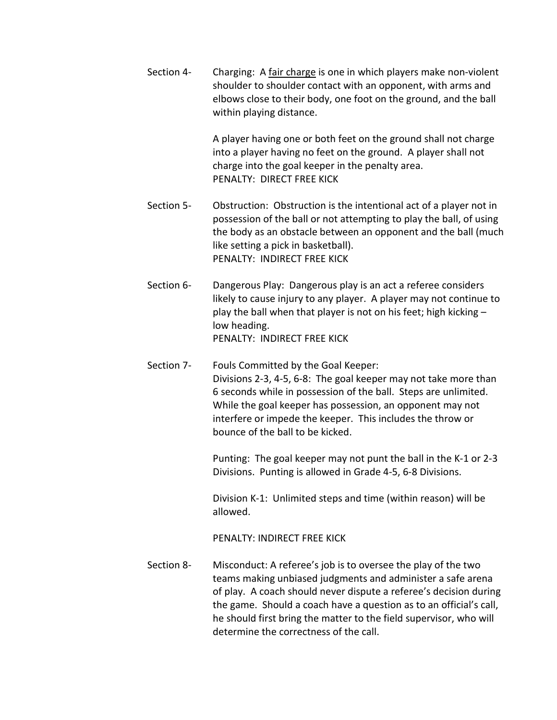Section 4- Charging: A fair charge is one in which players make non-violent shoulder to shoulder contact with an opponent, with arms and elbows close to their body, one foot on the ground, and the ball within playing distance.

> A player having one or both feet on the ground shall not charge into a player having no feet on the ground. A player shall not charge into the goal keeper in the penalty area. PENALTY: DIRECT FREE KICK

- Section 5- Obstruction: Obstruction is the intentional act of a player not in possession of the ball or not attempting to play the ball, of using the body as an obstacle between an opponent and the ball (much like setting a pick in basketball). PENALTY: INDIRECT FREE KICK
- Section 6- Dangerous Play: Dangerous play is an act a referee considers likely to cause injury to any player. A player may not continue to play the ball when that player is not on his feet; high kicking – low heading. PENALTY: INDIRECT FREE KICK
- Section 7- Fouls Committed by the Goal Keeper: Divisions 2-3, 4-5, 6-8: The goal keeper may not take more than 6 seconds while in possession of the ball. Steps are unlimited. While the goal keeper has possession, an opponent may not interfere or impede the keeper. This includes the throw or bounce of the ball to be kicked.

Punting: The goal keeper may not punt the ball in the K-1 or 2-3 Divisions. Punting is allowed in Grade 4-5, 6-8 Divisions.

Division K-1: Unlimited steps and time (within reason) will be allowed.

PENALTY: INDIRECT FREE KICK

Section 8- Misconduct: A referee's job is to oversee the play of the two teams making unbiased judgments and administer a safe arena of play. A coach should never dispute a referee's decision during the game. Should a coach have a question as to an official's call, he should first bring the matter to the field supervisor, who will determine the correctness of the call.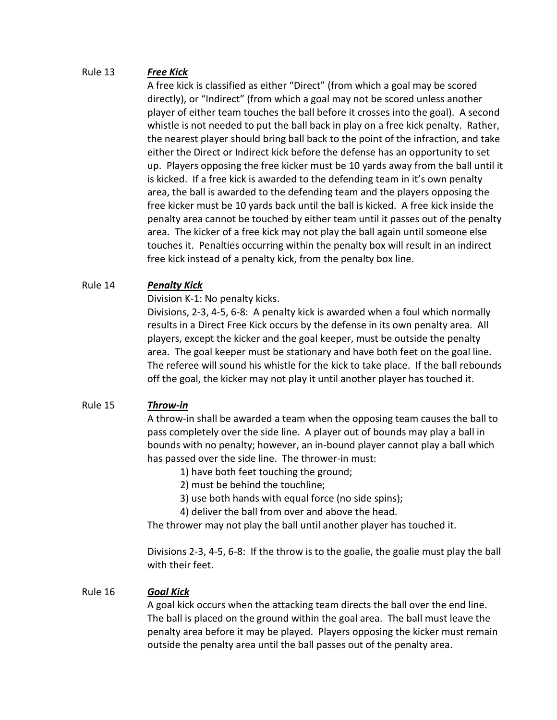# Rule 13 *Free Kick*

A free kick is classified as either "Direct" (from which a goal may be scored directly), or "Indirect" (from which a goal may not be scored unless another player of either team touches the ball before it crosses into the goal). A second whistle is not needed to put the ball back in play on a free kick penalty. Rather, the nearest player should bring ball back to the point of the infraction, and take either the Direct or Indirect kick before the defense has an opportunity to set up. Players opposing the free kicker must be 10 yards away from the ball until it is kicked. If a free kick is awarded to the defending team in it's own penalty area, the ball is awarded to the defending team and the players opposing the free kicker must be 10 yards back until the ball is kicked. A free kick inside the penalty area cannot be touched by either team until it passes out of the penalty area. The kicker of a free kick may not play the ball again until someone else touches it. Penalties occurring within the penalty box will result in an indirect free kick instead of a penalty kick, from the penalty box line.

# Rule 14 *Penalty Kick*

Division K-1: No penalty kicks.

Divisions, 2-3, 4-5, 6-8: A penalty kick is awarded when a foul which normally results in a Direct Free Kick occurs by the defense in its own penalty area. All players, except the kicker and the goal keeper, must be outside the penalty area. The goal keeper must be stationary and have both feet on the goal line. The referee will sound his whistle for the kick to take place. If the ball rebounds off the goal, the kicker may not play it until another player has touched it.

# Rule 15 *Throw-in*

A throw-in shall be awarded a team when the opposing team causes the ball to pass completely over the side line. A player out of bounds may play a ball in bounds with no penalty; however, an in-bound player cannot play a ball which has passed over the side line. The thrower-in must:

- 1) have both feet touching the ground;
- 2) must be behind the touchline;
- 3) use both hands with equal force (no side spins);
- 4) deliver the ball from over and above the head.

The thrower may not play the ball until another player has touched it.

Divisions 2-3, 4-5, 6-8: If the throw is to the goalie, the goalie must play the ball with their feet.

# Rule 16 *Goal Kick*

A goal kick occurs when the attacking team directs the ball over the end line. The ball is placed on the ground within the goal area. The ball must leave the penalty area before it may be played. Players opposing the kicker must remain outside the penalty area until the ball passes out of the penalty area.